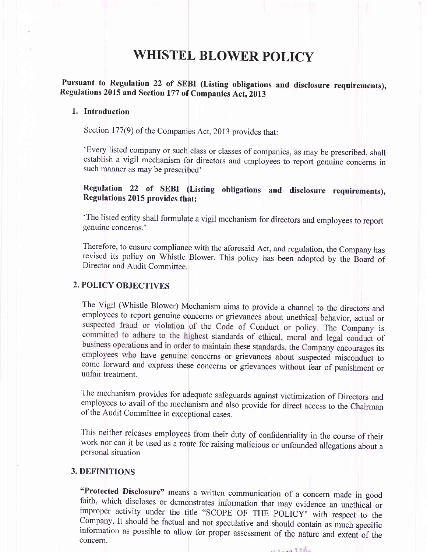# WHISTEL BLOWER POLICY

## Pursuant to Regulation 22 of SEBI (Listing obligations and disclosure requirements), Regulations 2015 and Section 177 of Companies Act, 2013

### 1. Introduction

Section 177(9) of the Companies Act, 2013 provides that:

'Every listed company or such class or classes of companies, as may be prescribed, shall establish a vigil mechanism for directors and employees to report genuine concerns in such manner as may be prescribed'

## Regulation 22 of SEBI (Listing obligations and disclosure requirements), Regulations 2015 provides that:

'The listed entity shall formulate avigil mechanism for directors and employees to report genuine concerns.'

Therefore, to ensure compliance with the aforesaid Act, and regulation, the Company has revised its policy on Whistle Blower. This policy has been adopted by the Board of Director and Audit Committee.

### 2. POLICY OBJECTIVES

The Vigil (Whistle Blower) Mechanism aims to provide a channel to the directors and employees to report genuine concerns or grievances about unethical behavior, actual or suspected fraud or violation of the Code of Conduct or policy. The Company is committed to adhere to the highest standards of ethical, moral and legal conduct of business operations and in order to maintain these standards, the Company encourages its employees who have genuine concerns or grievances about suspected misconduct to come forward and express these concerns or grievances without fear of punishment or unfair treatment.

The mechanism provides for adequate safeguards against victimization of Directors and employees to avail of the mechanism and also provide for direct access to the Chairman of the Audit Committee in exceptional cases.

This neither releases employees from their duty of confidentiality in the course of their work nor can it be used as a route for raising malicious or unfounded allegations about a personal situation

### 3. DEFINITIONS

"Protected Disclosure" means a written communication of a concern made in good faith, which discloses or demonstrates information that may evidence an unethical or improper activity under the title "SCOPE OF THE POLICY" wi

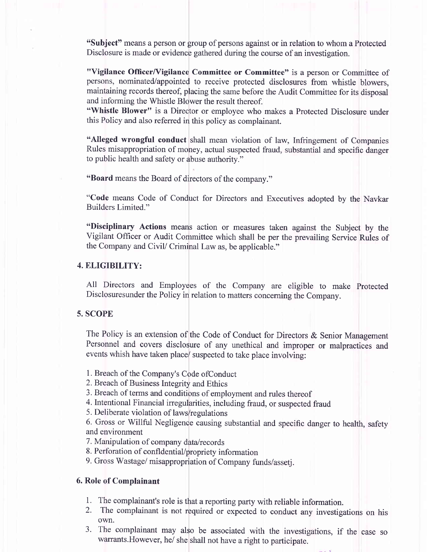"Subject" means a person or group of persons against or in relation to whom a Protected Disclosure is made or evidence gathered during the course of an investigation.

"Vigilance Officer/Vigilance Committee or Committee" is a person or Committee of persons, nominated/appointed to receive protected disclosures from whistle blowers, maintaining records thereof, placing the same before the Audit Committee for its disposal and informing the Whistle Blower the result thereof.

"Whistle Blower" is a Director or employee who makes a Protected Disclosure under this Policy and also referred in this policy as complainant.

"Alleged wrongful conduct shall mean violation of law, Infringement of Companies Rules misappropriation of money, actual suspected fraud, substantial and specific danger to public health and safety or abuse authority."

"Board means the Board of directors of the company."

"Code means Code of Condiuct for Directors and Executives adopted by the Navkar Builders Limited."

"Disciplinary Actions means action or measures taken against the Subject by the Vigilant Offrcer or Audit Committee which shall be per the prevailing Service Rules of the Company and CiviV Criminal Law as, be applicable."

#### 4. ELIGIBILITY:

All Directors and Employees of the Company ate eligible to make Protected Disclosuresunder the Policy in relation to matters conceming the Company.

#### 5. SCOPE

The Policy is an extension of the Code of Conduct for Directors & Senior Management Personnel and covers disclosure of any unethical and improper or malpractices and events whish have taken place/ suspected to take place involving:

1. Breach of the Company's Code ofConduct

2. Breach of Business Integrity and Ethics

3. Breach of terms and conditions of employment and rules thereof

4. Intentional Financial inegularities, including fraud, or suspected fraud

5. Deliberate violation of laws/regulations

6. Gross or Willful Negligence causing substantial and specific danger to health, safety and environment

7. Manipulation of company data/records

8. Perforation of confldential/propriety information

9. Gross Wastage/ misappropriation of Company funds/assetj.

#### 6. Role of Complainant

- 
- 1. The complainant's role is that areporting party with reliable information. 2. The complainant is not required or expected to conduct any investigations on his own.
- 3. The complainant may also be associated with the investigations, if the case so warrants. However, he/ she shall not have a right to participate.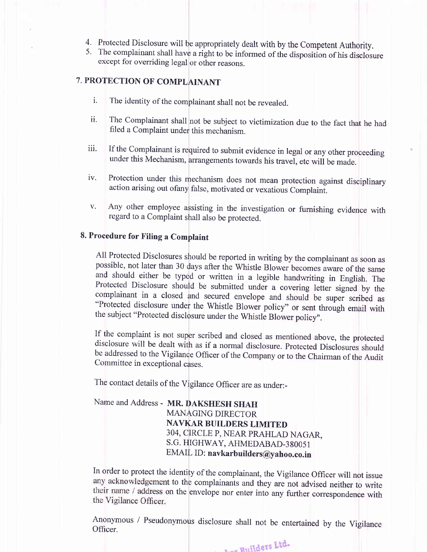- 
- 4. Protected Disclosure will be appropriately dealt with by the Competent Authority.<br>5. The complainant shall have a right to be informed of the disposition of his disclosure except for overriding legal or other reasons.

## 7. PROTECTION OF COMPLAINANT

- i. The identity of the complainant shall not be revealed.
- ii. The Complainant shall not be subject to victimization due to the fact that he had filed a Complaint under this mechanism.
- iii. If the Complainant is required to submit evidence in legal or any other proceeding under this Mechanism, arrangements towards his travel, etc will be made.
- iv. Protection under this mechanism does not mean protection against disciplinary action arising out ofany false, motivated or vexatious Complaint.
- v. Any other employee assisting in the investigation or furnishing evidence with regard to a Complaint shall also be protected.

#### 8. Procedure for Filing a Complaint

All Protected Disclosures should be reported in writing by the complainant as soon as possible, not later than 30 days after the Whistle Blower becomes aware of the same and should either be typed or written in a legible h the subject "Protected disclosure under the whistle Blower policy".

If the complaint is not super scribed and closed as mentioned above, the protected disclosure will be dealt with as if a normal disclosure. Protected Disclosures should be addressed to the Vigilance Officer of the Company or to the Chairman of the Audit Committee in exceptional cases.

The contact details of the vigilance officer are as under:-

Name and Address - MR. DAKSHESH SHAH MANAGING DIRECTOR NAVKAR BUILDERS LIMITED 304, CIRCLE P, NEAR PRAHLAD NAGAR, S.G. HIGHWAY, AHMEDABAD-380051 EMAIL ID: navkarbuilders@yahoo.co.in

In order to protect the identity of the complainant, the Vigilance officer will not issue any acknowledgement to the complainants and they are not advised neither to write their name / address on the envelope nor enter into any further correspondence with the Vigilance Officer.

Anonymous / Pseudonymous disclosure shall not be entertained by the Vigilance Officer.

dev Euilders Ltd.